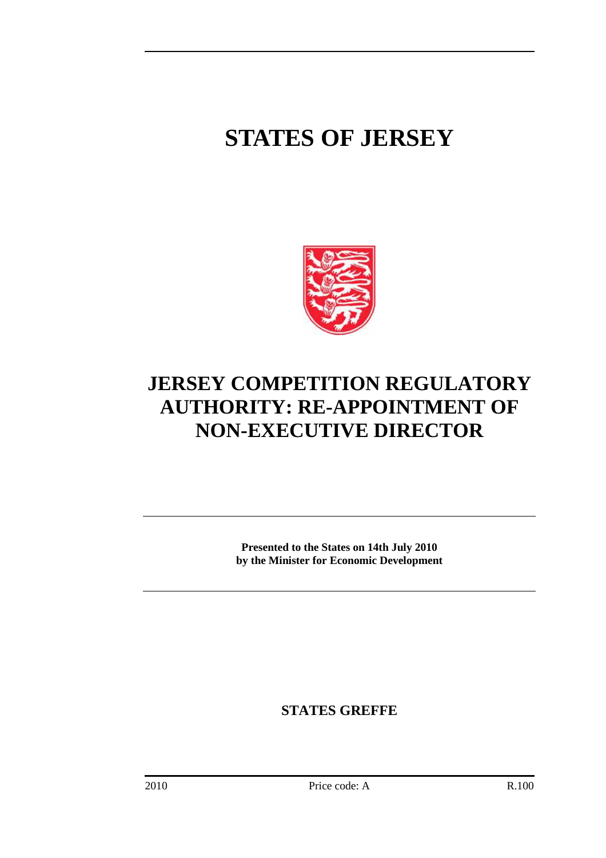## **STATES OF JERSEY**



## **JERSEY COMPETITION REGULATORY AUTHORITY: RE-APPOINTMENT OF NON-EXECUTIVE DIRECTOR**

**Presented to the States on 14th July 2010 by the Minister for Economic Development** 

**STATES GREFFE**